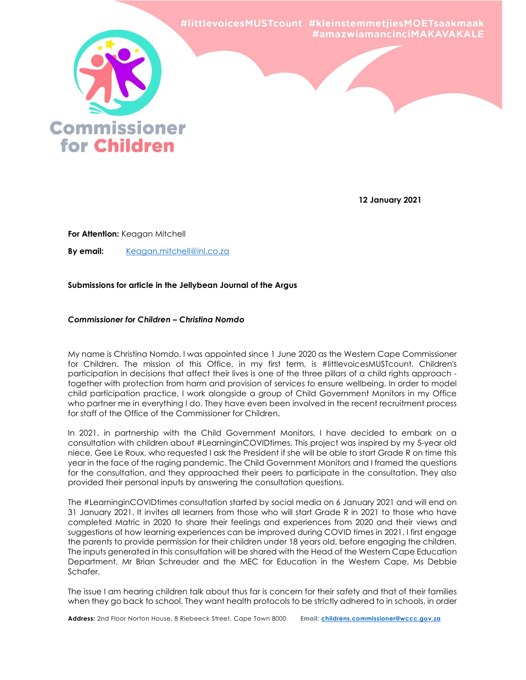

12 January 2021

For Attention: Keagan Mitchell

By email: Keagan.mitchell@inl.co.za

# Submissions for article in the Jellybean Journal of the Argus

## Commissioner for Children – Christina Nomdo

My name is Christina Nomdo. I was appointed since 1 June 2020 as the Western Cape Commissioner for Children. The mission of this Office, in my first term, is #littlevoicesMUSTcount. Children's participation in decisions that affect their lives is one of the three pillars of a child rights approach together with protection from harm and provision of services to ensure wellbeing. In order to model child participation practice, I work alongside a group of Child Government Monitors in my Office who partner me in everything I do. They have even been involved in the recent recruitment process for staff of the Office of the Commissioner for Children.

In 2021, in partnership with the Child Government Monitors, I have decided to embark on a consultation with children about #LearninginCOVIDtimes. This project was inspired by my 5-year old niece, Gee Le Roux, who requested I ask the President if she will be able to start Grade R on time this year in the face of the raging pandemic. The Child Government Monitors and I framed the questions for the consultation, and they approached their peers to participate in the consultation. They also provided their personal inputs by answering the consultation questions.

The #LearninginCOVIDtimes consultation started by social media on 6 January 2021 and will end on 31 January 2021. It invites all learners from those who will start Grade R in 2021 to those who have completed Matric in 2020 to share their feelings and experiences from 2020 and their views and suggestions of how learning experiences can be improved during COVID times in 2021. I first engage the parents to provide permission for their children under 18 years old, before engaging the children. The inputs generated in this consultation will be shared with the Head of the Western Cape Education Department, Mr Brian Schreuder and the MEC for Education in the Western Cape, Ms Debbie Schafer.

The issue I am hearing children talk about thus far is concern for their safety and that of their families when they go back to school. They want health protocols to be strictly adhered to in schools, in order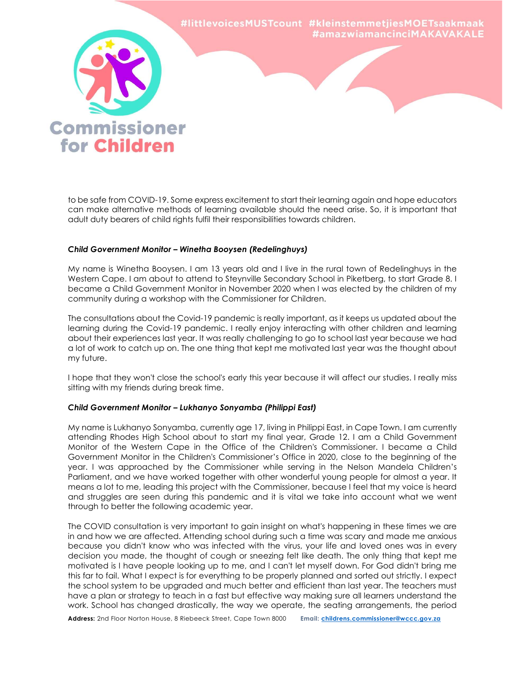

to be safe from COVID-19. Some express excitement to start their learning again and hope educators can make alternative methods of learning available should the need arise. So, it is important that adult duty bearers of child rights fulfil their responsibilities towards children.

## Child Government Monitor – Winetha Booysen (Redelinghuys)

My name is Winetha Booysen. I am 13 years old and I live in the rural town of Redelinghuys in the Western Cape. I am about to attend to Steynville Secondary School in Piketberg, to start Grade 8. I became a Child Government Monitor in November 2020 when I was elected by the children of my community during a workshop with the Commissioner for Children.

The consultations about the Covid-19 pandemic is really important, as it keeps us updated about the learning during the Covid-19 pandemic. I really enjoy interacting with other children and learning about their experiences last year. It was really challenging to go to school last year because we had a lot of work to catch up on. The one thing that kept me motivated last year was the thought about my future.

I hope that they won't close the school's early this year because it will affect our studies. I really miss sitting with my friends during break time.

## Child Government Monitor – Lukhanyo Sonyamba (Philippi East)

My name is Lukhanyo Sonyamba, currently age 17, living in Philippi East, in Cape Town. I am currently attending Rhodes High School about to start my final year, Grade 12. I am a Child Government Monitor of the Western Cape in the Office of the Children's Commissioner. I became a Child Government Monitor in the Children's Commissioner's Office in 2020, close to the beginning of the year. I was approached by the Commissioner while serving in the Nelson Mandela Children's Parliament, and we have worked together with other wonderful young people for almost a year. It means a lot to me, leading this project with the Commissioner, because I feel that my voice is heard and struggles are seen during this pandemic and it is vital we take into account what we went through to better the following academic year.

The COVID consultation is very important to gain insight on what's happening in these times we are in and how we are affected. Attending school during such a time was scary and made me anxious because you didn't know who was infected with the virus, your life and loved ones was in every decision you made, the thought of cough or sneezing felt like death. The only thing that kept me motivated is I have people looking up to me, and I can't let myself down. For God didn't bring me this far to fail. What I expect is for everything to be properly planned and sorted out strictly. I expect the school system to be upgraded and much better and efficient than last year. The teachers must have a plan or strategy to teach in a fast but effective way making sure all learners understand the work. School has changed drastically, the way we operate, the seating arrangements, the period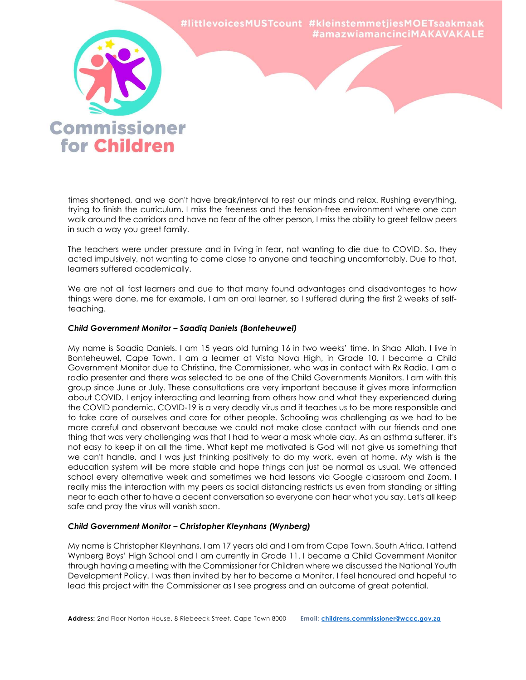

times shortened, and we don't have break/interval to rest our minds and relax. Rushing everything, trying to finish the curriculum. I miss the freeness and the tension-free environment where one can walk around the corridors and have no fear of the other person, I miss the ability to greet fellow peers in such a way you greet family.

The teachers were under pressure and in living in fear, not wanting to die due to COVID. So, they acted impulsively, not wanting to come close to anyone and teaching uncomfortably. Due to that, learners suffered academically.

We are not all fast learners and due to that many found advantages and disadvantages to how things were done, me for example, I am an oral learner, so I suffered during the first 2 weeks of selfteaching.

## Child Government Monitor – Saadiq Daniels (Bonteheuwel)

My name is Saadiq Daniels. I am 15 years old turning 16 in two weeks' time, In Shaa Allah. I live in Bonteheuwel, Cape Town. I am a learner at Vista Nova High, in Grade 10. I became a Child Government Monitor due to Christina, the Commissioner, who was in contact with Rx Radio. I am a radio presenter and there was selected to be one of the Child Governments Monitors. I am with this group since June or July. These consultations are very important because it gives more information about COVID. I enjoy interacting and learning from others how and what they experienced during the COVID pandemic. COVID-19 is a very deadly virus and it teaches us to be more responsible and to take care of ourselves and care for other people. Schooling was challenging as we had to be more careful and observant because we could not make close contact with our friends and one thing that was very challenging was that I had to wear a mask whole day. As an asthma sufferer, it's not easy to keep it on all the time. What kept me motivated is God will not give us something that we can't handle, and I was just thinking positively to do my work, even at home. My wish is the education system will be more stable and hope things can just be normal as usual. We attended school every alternative week and sometimes we had lessons via Google classroom and Zoom. I really miss the interaction with my peers as social distancing restricts us even from standing or sitting near to each other to have a decent conversation so everyone can hear what you say. Let's all keep safe and pray the virus will vanish soon.

## Child Government Monitor – Christopher Kleynhans (Wynberg)

My name is Christopher Kleynhans. I am 17 years old and I am from Cape Town, South Africa. I attend Wynberg Boys' High School and I am currently in Grade 11. I became a Child Government Monitor through having a meeting with the Commissioner for Children where we discussed the National Youth Development Policy. I was then invited by her to become a Monitor. I feel honoured and hopeful to lead this project with the Commissioner as I see progress and an outcome of great potential.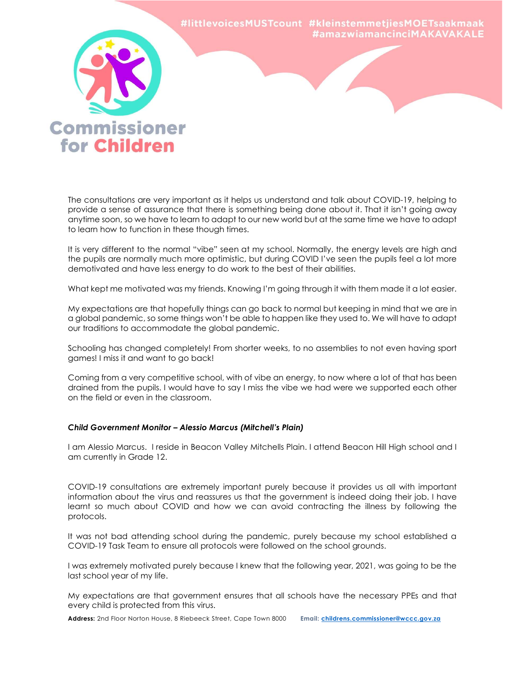

The consultations are very important as it helps us understand and talk about COVID-19, helping to provide a sense of assurance that there is something being done about it. That it isn't going away anytime soon, so we have to learn to adapt to our new world but at the same time we have to adapt to learn how to function in these though times.

It is very different to the normal "vibe" seen at my school. Normally, the energy levels are high and the pupils are normally much more optimistic, but during COVID I've seen the pupils feel a lot more demotivated and have less energy to do work to the best of their abilities.

What kept me motivated was my friends. Knowing I'm going through it with them made it a lot easier.

My expectations are that hopefully things can go back to normal but keeping in mind that we are in a global pandemic, so some things won't be able to happen like they used to. We will have to adapt our traditions to accommodate the global pandemic.

Schooling has changed completely! From shorter weeks, to no assemblies to not even having sport games! I miss it and want to go back!

Coming from a very competitive school, with of vibe an energy, to now where a lot of that has been drained from the pupils. I would have to say I miss the vibe we had were we supported each other on the field or even in the classroom.

## Child Government Monitor – Alessio Marcus (Mitchell's Plain)

I am Alessio Marcus. I reside in Beacon Valley Mitchells Plain. I attend Beacon Hill High school and I am currently in Grade 12.

COVID-19 consultations are extremely important purely because it provides us all with important information about the virus and reassures us that the government is indeed doing their job. I have learnt so much about COVID and how we can avoid contracting the illness by following the protocols.

It was not bad attending school during the pandemic, purely because my school established a COVID-19 Task Team to ensure all protocols were followed on the school grounds.

I was extremely motivated purely because I knew that the following year, 2021, was going to be the last school year of my life.

My expectations are that government ensures that all schools have the necessary PPEs and that every child is protected from this virus.

Address: 2nd Floor Norton House, 8 Riebeeck Street, Cape Town 8000 Email: childrens.commissioner@wccc.gov.za